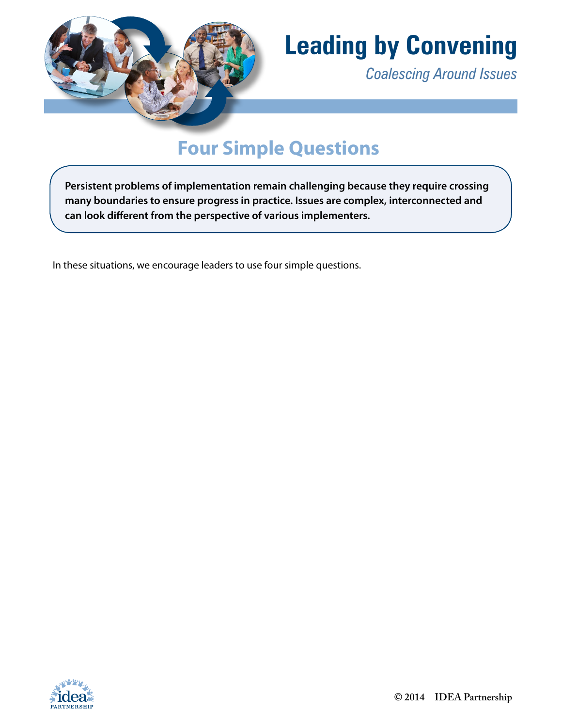

# **Leading by Convening**

*Coalescing Around Issues*

## **Four Simple Questions**

**Persistent problems of implementation remain challenging because they require crossing many boundaries to ensure progress in practice. Issues are complex, interconnected and can look different from the perspective of various implementers.** 

In these situations, we encourage leaders to use four simple questions.

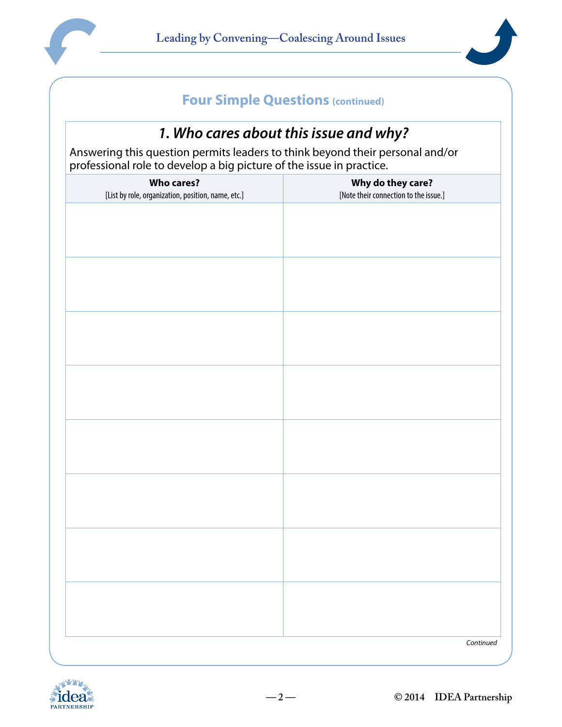



#### *1. Who cares about this issue and why?*

Answering this question permits leaders to think beyond their personal and/or professional role to develop a big picture of the issue in practice.

| <b>Who cares?</b><br>[List by role, organization, position, name, etc.] | Why do they care?<br>[Note their connection to the issue.] |
|-------------------------------------------------------------------------|------------------------------------------------------------|
|                                                                         |                                                            |
|                                                                         |                                                            |
|                                                                         |                                                            |
|                                                                         |                                                            |
|                                                                         |                                                            |
|                                                                         |                                                            |
|                                                                         |                                                            |
|                                                                         |                                                            |
|                                                                         |                                                            |
|                                                                         |                                                            |
|                                                                         |                                                            |
|                                                                         |                                                            |
|                                                                         |                                                            |
|                                                                         |                                                            |
|                                                                         |                                                            |
|                                                                         | Continued                                                  |

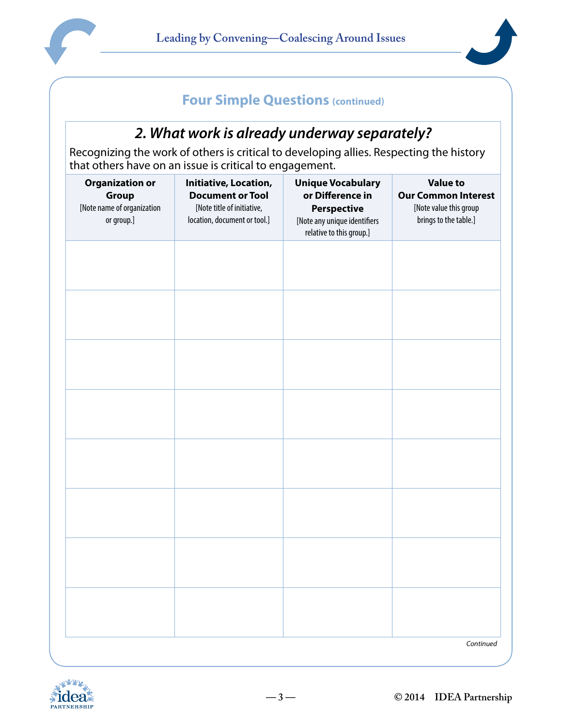



#### *2. What work is already underway separately?*

Recognizing the work of others is critical to developing allies. Respecting the history that others have on an issue is critical to engagement.

| <b>Organization or</b><br>Group<br>[Note name of organization<br>or group.] | Initiative, Location,<br><b>Document or Tool</b><br>[Note title of initiative,<br>location, document or tool.] | <b>Unique Vocabulary</b><br>or Difference in<br><b>Perspective</b><br>[Note any unique identifiers<br>relative to this group.] | <b>Value to</b><br><b>Our Common Interest</b><br>[Note value this group<br>brings to the table.] |
|-----------------------------------------------------------------------------|----------------------------------------------------------------------------------------------------------------|--------------------------------------------------------------------------------------------------------------------------------|--------------------------------------------------------------------------------------------------|
|                                                                             |                                                                                                                |                                                                                                                                |                                                                                                  |
|                                                                             |                                                                                                                |                                                                                                                                |                                                                                                  |
|                                                                             |                                                                                                                |                                                                                                                                |                                                                                                  |
|                                                                             |                                                                                                                |                                                                                                                                |                                                                                                  |
|                                                                             |                                                                                                                |                                                                                                                                |                                                                                                  |
|                                                                             |                                                                                                                |                                                                                                                                |                                                                                                  |
|                                                                             |                                                                                                                |                                                                                                                                |                                                                                                  |
|                                                                             |                                                                                                                |                                                                                                                                | Continued                                                                                        |

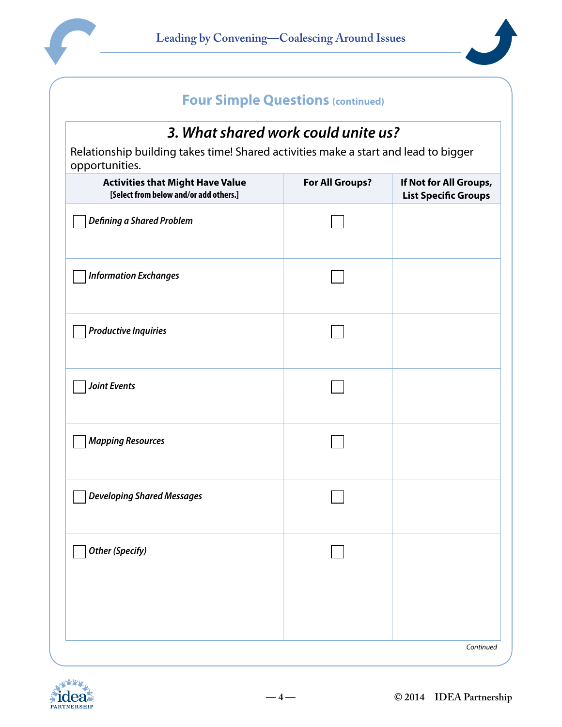



### *3. What shared work could unite us?*

Relationship building takes time! Shared activities make a start and lead to bigger opportunities.

| <b>Activities that Might Have Value</b><br>[Select from below and/or add others.] | For All Groups? | If Not for All Groups,<br><b>List Specific Groups</b> |
|-----------------------------------------------------------------------------------|-----------------|-------------------------------------------------------|
| <b>Defining a Shared Problem</b>                                                  |                 |                                                       |
| <b>Information Exchanges</b>                                                      |                 |                                                       |
| <b>Productive Inquiries</b>                                                       |                 |                                                       |
| <b>Joint Events</b>                                                               |                 |                                                       |
| <b>Mapping Resources</b>                                                          |                 |                                                       |
| <b>Developing Shared Messages</b>                                                 |                 |                                                       |
| <b>Other (Specify)</b>                                                            |                 |                                                       |
|                                                                                   |                 | Continued                                             |